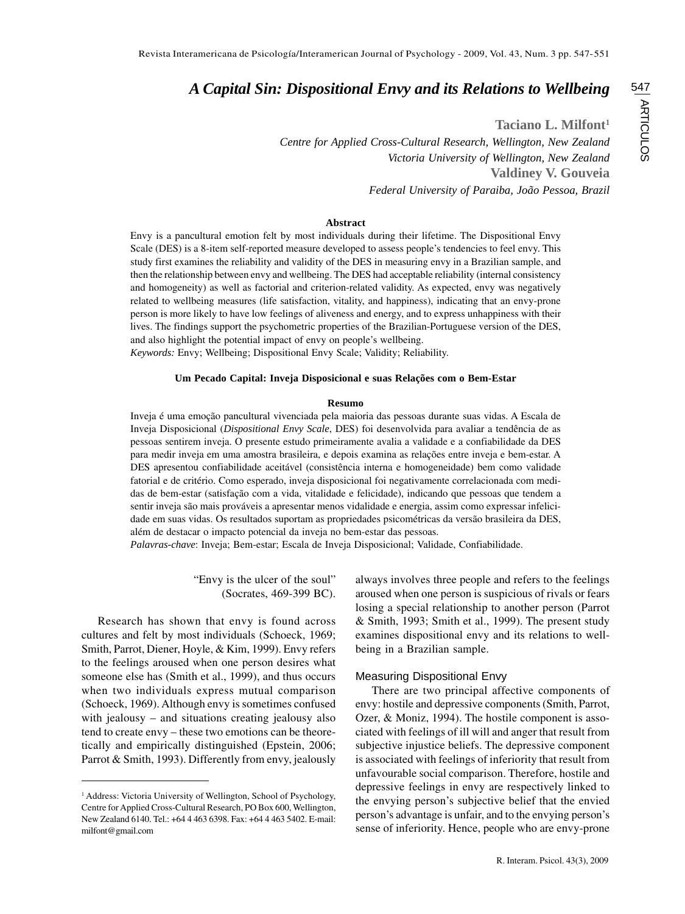# *A Capital Sin: Dispositional Envy and its Relations to Wellbeing*

**Taciano L. Milfont1**

*Centre for Applied Cross-Cultural Research, Wellington, New Zealand Victoria University of Wellington, New Zealand* **Valdiney V. Gouveia** *Federal University of Paraiba, João Pessoa, Brazil*

#### **Abstract**

Envy is a pancultural emotion felt by most individuals during their lifetime. The Dispositional Envy Scale (DES) is a 8-item self-reported measure developed to assess people's tendencies to feel envy. This study first examines the reliability and validity of the DES in measuring envy in a Brazilian sample, and then the relationship between envy and wellbeing. The DES had acceptable reliability (internal consistency and homogeneity) as well as factorial and criterion-related validity. As expected, envy was negatively related to wellbeing measures (life satisfaction, vitality, and happiness), indicating that an envy-prone person is more likely to have low feelings of aliveness and energy, and to express unhappiness with their lives. The findings support the psychometric properties of the Brazilian-Portuguese version of the DES, and also highlight the potential impact of envy on people's wellbeing. *Keywords:* Envy; Wellbeing; Dispositional Envy Scale; Validity; Reliability.

## **Um Pecado Capital: Inveja Disposicional e suas Relações com o Bem-Estar**

#### **Resumo**

Inveja é uma emoção pancultural vivenciada pela maioria das pessoas durante suas vidas. A Escala de Inveja Disposicional (*Dispositional Envy Scale*, DES) foi desenvolvida para avaliar a tendência de as pessoas sentirem inveja. O presente estudo primeiramente avalia a validade e a confiabilidade da DES para medir inveja em uma amostra brasileira, e depois examina as relações entre inveja e bem-estar. A DES apresentou confiabilidade aceitável (consistência interna e homogeneidade) bem como validade fatorial e de critério. Como esperado, inveja disposicional foi negativamente correlacionada com medidas de bem-estar (satisfação com a vida, vitalidade e felicidade), indicando que pessoas que tendem a sentir inveja são mais prováveis a apresentar menos vidalidade e energia, assim como expressar infelicidade em suas vidas. Os resultados suportam as propriedades psicométricas da versão brasileira da DES, além de destacar o impacto potencial da inveja no bem-estar das pessoas.

*Palavras-chave*: Inveja; Bem-estar; Escala de Inveja Disposicional; Validade, Confiabilidade.

"Envy is the ulcer of the soul" (Socrates, 469-399 BC).

Research has shown that envy is found across cultures and felt by most individuals (Schoeck, 1969; Smith, Parrot, Diener, Hoyle, & Kim, 1999). Envy refers to the feelings aroused when one person desires what someone else has (Smith et al., 1999), and thus occurs when two individuals express mutual comparison (Schoeck, 1969). Although envy is sometimes confused with jealousy – and situations creating jealousy also tend to create envy – these two emotions can be theoretically and empirically distinguished (Epstein, 2006; Parrot & Smith, 1993). Differently from envy, jealously always involves three people and refers to the feelings aroused when one person is suspicious of rivals or fears losing a special relationship to another person (Parrot & Smith, 1993; Smith et al., 1999). The present study examines dispositional envy and its relations to wellbeing in a Brazilian sample.

#### Measuring Dispositional Envy

There are two principal affective components of envy: hostile and depressive components (Smith, Parrot, Ozer, & Moniz, 1994). The hostile component is associated with feelings of ill will and anger that result from subjective injustice beliefs. The depressive component is associated with feelings of inferiority that result from unfavourable social comparison. Therefore, hostile and depressive feelings in envy are respectively linked to the envying person's subjective belief that the envied person's advantage is unfair, and to the envying person's sense of inferiority. Hence, people who are envy-prone

<sup>&</sup>lt;sup>1</sup> Address: Victoria University of Wellington, School of Psychology, Centre for Applied Cross-Cultural Research, PO Box 600, Wellington, New Zealand 6140. Tel.: +64 4 463 6398. Fax: +64 4 463 5402. E-mail: milfont@gmail.com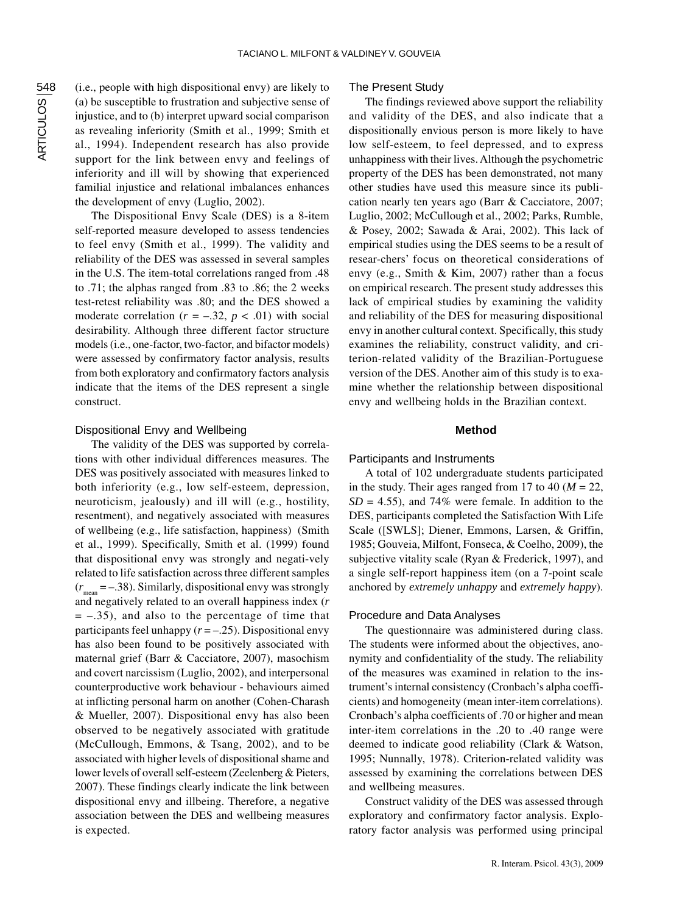(i.e., people with high dispositional envy) are likely to (a) be susceptible to frustration and subjective sense of injustice, and to (b) interpret upward social comparison as revealing inferiority (Smith et al., 1999; Smith et al., 1994). Independent research has also provide support for the link between envy and feelings of inferiority and ill will by showing that experienced familial injustice and relational imbalances enhances the development of envy (Luglio, 2002).

The Dispositional Envy Scale (DES) is a 8-item self-reported measure developed to assess tendencies to feel envy (Smith et al., 1999). The validity and reliability of the DES was assessed in several samples in the U.S. The item-total correlations ranged from .48 to .71; the alphas ranged from .83 to .86; the 2 weeks test-retest reliability was .80; and the DES showed a moderate correlation  $(r = -.32, p < .01)$  with social desirability. Although three different factor structure models (i.e., one-factor, two-factor, and bifactor models) were assessed by confirmatory factor analysis, results from both exploratory and confirmatory factors analysis indicate that the items of the DES represent a single construct.

#### Dispositional Envy and Wellbeing

The validity of the DES was supported by correlations with other individual differences measures. The DES was positively associated with measures linked to both inferiority (e.g., low self-esteem, depression, neuroticism, jealously) and ill will (e.g., hostility, resentment), and negatively associated with measures of wellbeing (e.g., life satisfaction, happiness) (Smith et al., 1999). Specifically, Smith et al. (1999) found that dispositional envy was strongly and negati-vely related to life satisfaction across three different samples  $(r_{\text{mean}} = -.38)$ . Similarly, dispositional envy was strongly and negatively related to an overall happiness index (*r*  $= -0.35$ , and also to the percentage of time that participants feel unhappy (*r* = –.25). Dispositional envy has also been found to be positively associated with maternal grief (Barr & Cacciatore, 2007), masochism and covert narcissism (Luglio, 2002), and interpersonal counterproductive work behaviour - behaviours aimed at inflicting personal harm on another (Cohen-Charash & Mueller, 2007). Dispositional envy has also been observed to be negatively associated with gratitude (McCullough, Emmons, & Tsang, 2002), and to be associated with higher levels of dispositional shame and lower levels of overall self-esteem (Zeelenberg & Pieters, 2007). These findings clearly indicate the link between dispositional envy and illbeing. Therefore, a negative association between the DES and wellbeing measures is expected.

## The Present Study

The findings reviewed above support the reliability and validity of the DES, and also indicate that a dispositionally envious person is more likely to have low self-esteem, to feel depressed, and to express unhappiness with their lives. Although the psychometric property of the DES has been demonstrated, not many other studies have used this measure since its publication nearly ten years ago (Barr & Cacciatore, 2007; Luglio, 2002; McCullough et al., 2002; Parks, Rumble, & Posey, 2002; Sawada & Arai, 2002). This lack of empirical studies using the DES seems to be a result of resear-chers' focus on theoretical considerations of envy (e.g., Smith & Kim, 2007) rather than a focus on empirical research. The present study addresses this lack of empirical studies by examining the validity and reliability of the DES for measuring dispositional envy in another cultural context. Specifically, this study examines the reliability, construct validity, and criterion-related validity of the Brazilian-Portuguese version of the DES. Another aim of this study is to examine whether the relationship between dispositional envy and wellbeing holds in the Brazilian context.

## **Method**

## Participants and Instruments

A total of 102 undergraduate students participated in the study. Their ages ranged from 17 to 40 ( $M = 22$ ,  $SD = 4.55$ ), and 74% were female. In addition to the DES, participants completed the Satisfaction With Life Scale ([SWLS]; Diener, Emmons, Larsen, & Griffin, 1985; Gouveia, Milfont, Fonseca, & Coelho, 2009), the subjective vitality scale (Ryan & Frederick, 1997), and a single self-report happiness item (on a 7-point scale anchored by *extremely unhappy* and *extremely happy*).

#### Procedure and Data Analyses

The questionnaire was administered during class. The students were informed about the objectives, anonymity and confidentiality of the study. The reliability of the measures was examined in relation to the instrument's internal consistency (Cronbach's alpha coefficients) and homogeneity (mean inter-item correlations). Cronbach's alpha coefficients of .70 or higher and mean inter-item correlations in the .20 to .40 range were deemed to indicate good reliability (Clark & Watson, 1995; Nunnally, 1978). Criterion-related validity was assessed by examining the correlations between DES and wellbeing measures.

Construct validity of the DES was assessed through exploratory and confirmatory factor analysis. Exploratory factor analysis was performed using principal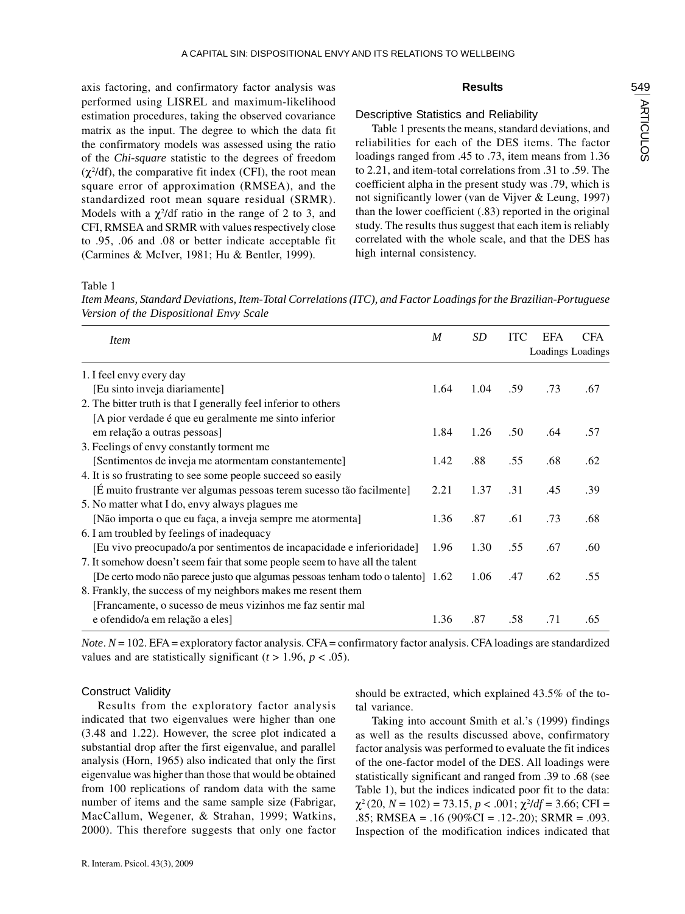axis factoring, and confirmatory factor analysis was performed using LISREL and maximum-likelihood estimation procedures, taking the observed covariance matrix as the input. The degree to which the data fit the confirmatory models was assessed using the ratio of the *Chi-square* statistic to the degrees of freedom  $(\chi^2/df)$ , the comparative fit index (CFI), the root mean square error of approximation (RMSEA), and the standardized root mean square residual (SRMR). Models with a  $\chi^2$ /df ratio in the range of 2 to 3, and CFI, RMSEA and SRMR with values respectively close to .95, .06 and .08 or better indicate acceptable fit (Carmines & McIver, 1981; Hu & Bentler, 1999).

## **Results**

## Descriptive Statistics and Reliability

Table 1 presents the means, standard deviations, and reliabilities for each of the DES items. The factor loadings ranged from .45 to .73, item means from 1.36 to 2.21, and item-total correlations from .31 to .59. The coefficient alpha in the present study was .79, which is not significantly lower (van de Vijver & Leung, 1997) than the lower coefficient (.83) reported in the original study. The results thus suggest that each item is reliably correlated with the whole scale, and that the DES has high internal consistency.

Table 1

*Item Means, Standard Deviations, Item-Total Correlations (ITC), and Factor Loadings for the Brazilian-Portuguese Version of the Dispositional Envy Scale*

| <i>Item</i>                                                                     | $\boldsymbol{M}$ | SD   | <b>ITC</b> | <b>EFA</b><br>Loadings Loadings | <b>CFA</b> |
|---------------------------------------------------------------------------------|------------------|------|------------|---------------------------------|------------|
| 1. I feel envy every day                                                        |                  |      |            |                                 |            |
| [Eu sinto inveja diariamente]                                                   | 1.64             | 1.04 | .59        | .73                             | .67        |
| 2. The bitter truth is that I generally feel inferior to others                 |                  |      |            |                                 |            |
| [A pior verdade é que eu geralmente me sinto inferior                           |                  |      |            |                                 |            |
| em relação a outras pessoas]                                                    | 1.84             | 1.26 | .50        | .64                             | .57        |
| 3. Feelings of envy constantly torment me                                       |                  |      |            |                                 |            |
| [Sentimentos de inveja me atormentam constantemente]                            | 1.42             | .88  | .55        | .68                             | .62        |
| 4. It is so frustrating to see some people succeed so easily                    |                  |      |            |                                 |            |
| [É muito frustrante ver algumas pessoas terem sucesso tão facilmente]           | 2.21             | 1.37 | .31        | .45                             | .39        |
| 5. No matter what I do, envy always plagues me                                  |                  |      |            |                                 |            |
| [Não importa o que eu faça, a inveja sempre me atormenta]                       | 1.36             | .87  | .61        | .73                             | .68        |
| 6. I am troubled by feelings of inadequacy                                      |                  |      |            |                                 |            |
| [Eu vivo preocupado/a por sentimentos de incapacidade e inferioridade]          | 1.96             | 1.30 | .55        | .67                             | .60        |
| 7. It somehow doesn't seem fair that some people seem to have all the talent    |                  |      |            |                                 |            |
| [De certo modo não parece justo que algumas pessoas tenham todo o talento] 1.62 |                  | 1.06 | .47        | .62                             | .55        |
| 8. Frankly, the success of my neighbors makes me resent them                    |                  |      |            |                                 |            |
| [Francamente, o sucesso de meus vizinhos me faz sentir mal                      |                  |      |            |                                 |            |
| e ofendido/a em relação a eles]                                                 | 1.36             | .87  | .58        | .71                             | .65        |

*Note*.  $N = 102$ . EFA = exploratory factor analysis. CFA = confirmatory factor analysis. CFA loadings are standardized values and are statistically significant  $(t > 1.96, p < .05)$ .

# Construct Validity

Results from the exploratory factor analysis indicated that two eigenvalues were higher than one (3.48 and 1.22). However, the scree plot indicated a substantial drop after the first eigenvalue, and parallel analysis (Horn, 1965) also indicated that only the first eigenvalue was higher than those that would be obtained from 100 replications of random data with the same number of items and the same sample size (Fabrigar, MacCallum, Wegener, & Strahan, 1999; Watkins, 2000). This therefore suggests that only one factor

should be extracted, which explained 43.5% of the total variance.

Taking into account Smith et al.'s (1999) findings as well as the results discussed above, confirmatory factor analysis was performed to evaluate the fit indices of the one-factor model of the DES. All loadings were statistically significant and ranged from .39 to .68 (see Table 1), but the indices indicated poor fit to the data:  $\chi^2(20, N = 102) = 73.15, p < .001; \chi^2/df = 3.66; CFI =$  $0.85$ ; RMSEA =  $0.16$  (90%CI =  $0.12$ - $0.20$ ); SRMR =  $0.093$ . Inspection of the modification indices indicated that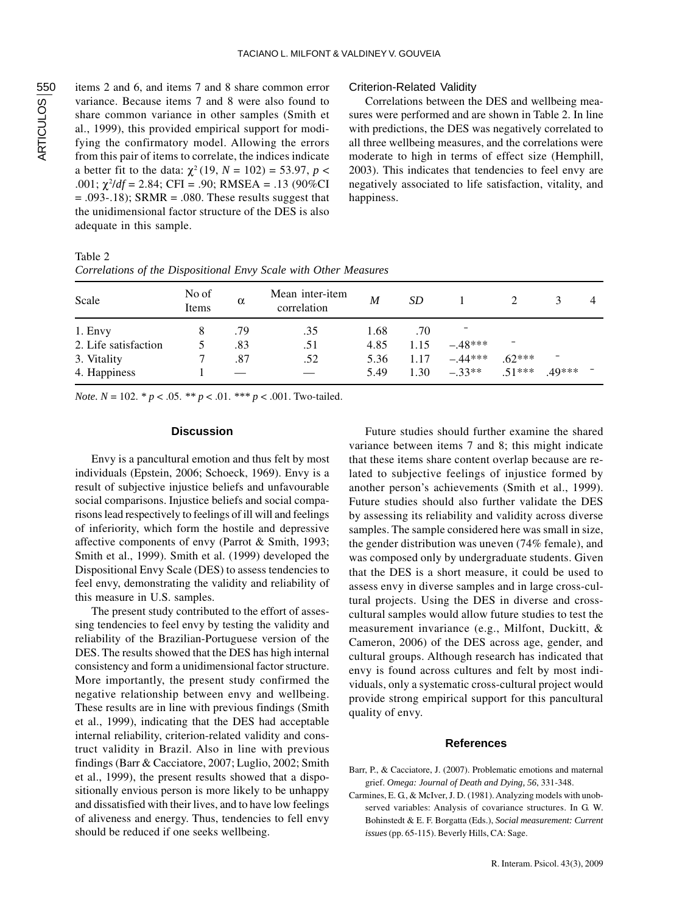items 2 and 6, and items 7 and 8 share common error variance. Because items 7 and 8 were also found to share common variance in other samples (Smith et al., 1999), this provided empirical support for modifying the confirmatory model. Allowing the errors from this pair of items to correlate, the indices indicate a better fit to the data:  $\chi^2$  (19, *N* = 102) = 53.97, *p* < .001; χ<sup>2</sup> /*df* = 2.84; CFI = .90; RMSEA = .13 (90%CI  $= .093 - .18$ ; SRMR  $= .080$ . These results suggest that the unidimensional factor structure of the DES is also adequate in this sample.

## Criterion-Related Validity

Correlations between the DES and wellbeing measures were performed and are shown in Table 2. In line with predictions, the DES was negatively correlated to all three wellbeing measures, and the correlations were moderate to high in terms of effect size (Hemphill, 2003). This indicates that tendencies to feel envy are negatively associated to life satisfaction, vitality, and happiness.

| Table 2                                                          |  |
|------------------------------------------------------------------|--|
| Correlations of the Dispositional Envy Scale with Other Measures |  |

| Scale                | No of<br>Items | $\alpha$ | Mean inter-item<br>correlation | M    | SD   |           |          |       | 4 |
|----------------------|----------------|----------|--------------------------------|------|------|-----------|----------|-------|---|
| 1. Envy              |                | .79      | .35                            | 1.68 | .70  |           |          |       |   |
| 2. Life satisfaction |                | .83      | .51                            | 4.85 | 1.15 | $-.48***$ |          |       |   |
| 3. Vitality          |                | .87      | .52                            | 5.36 | 1.17 | $-.44***$ | $.62***$ | -     |   |
| 4. Happiness         |                |          |                                | 5.49 | 1.30 | $-.33**$  | $51***$  | 49*** |   |

*Note. N* = 102. *\* p* < .05. *\*\* p* < .01. *\*\*\* p* < .001. Two-tailed.

# **Discussion**

Envy is a pancultural emotion and thus felt by most individuals (Epstein, 2006; Schoeck, 1969). Envy is a result of subjective injustice beliefs and unfavourable social comparisons. Injustice beliefs and social comparisons lead respectively to feelings of ill will and feelings of inferiority, which form the hostile and depressive affective components of envy (Parrot & Smith, 1993; Smith et al., 1999). Smith et al. (1999) developed the Dispositional Envy Scale (DES) to assess tendencies to feel envy, demonstrating the validity and reliability of this measure in U.S. samples.

The present study contributed to the effort of assessing tendencies to feel envy by testing the validity and reliability of the Brazilian-Portuguese version of the DES. The results showed that the DES has high internal consistency and form a unidimensional factor structure. More importantly, the present study confirmed the negative relationship between envy and wellbeing. These results are in line with previous findings (Smith et al., 1999), indicating that the DES had acceptable internal reliability, criterion-related validity and construct validity in Brazil. Also in line with previous findings (Barr & Cacciatore, 2007; Luglio, 2002; Smith et al., 1999), the present results showed that a dispositionally envious person is more likely to be unhappy and dissatisfied with their lives, and to have low feelings of aliveness and energy. Thus, tendencies to fell envy should be reduced if one seeks wellbeing.

Future studies should further examine the shared variance between items 7 and 8; this might indicate that these items share content overlap because are related to subjective feelings of injustice formed by another person's achievements (Smith et al., 1999). Future studies should also further validate the DES by assessing its reliability and validity across diverse samples. The sample considered here was small in size, the gender distribution was uneven (74% female), and was composed only by undergraduate students. Given that the DES is a short measure, it could be used to assess envy in diverse samples and in large cross-cultural projects. Using the DES in diverse and crosscultural samples would allow future studies to test the measurement invariance (e.g., Milfont, Duckitt, & Cameron, 2006) of the DES across age, gender, and cultural groups. Although research has indicated that envy is found across cultures and felt by most individuals, only a systematic cross-cultural project would provide strong empirical support for this pancultural quality of envy.

#### **References**

- Barr, P., & Cacciatore, J. (2007). Problematic emotions and maternal grief. *Omega: Journal of Death and Dying, 56*, 331-348.
- Carmines, E. G., & McIver, J. D. (1981). Analyzing models with unobserved variables: Analysis of covariance structures. In G. W. Bohinstedt & E. F. Borgatta (Eds.), *Social measurement: Current issues* (pp. 65-115). Beverly Hills, CA: Sage.